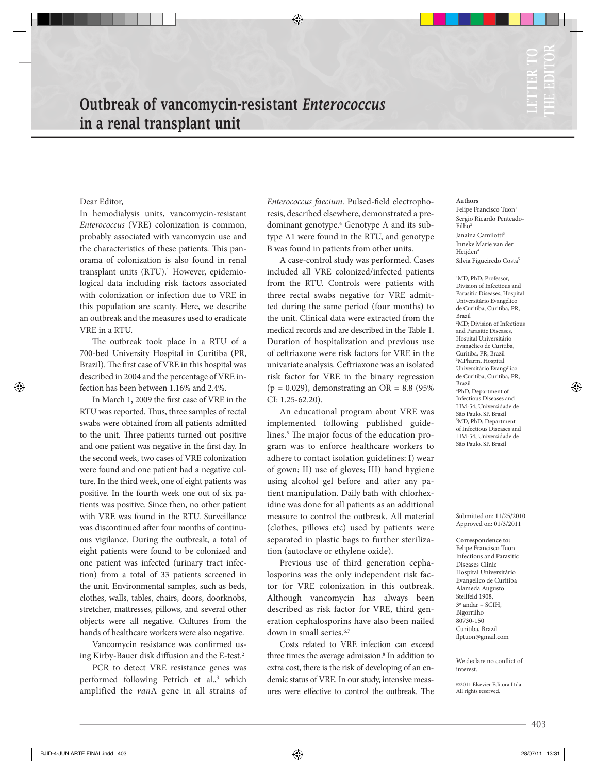# Outbreak of vancomycin-resistant *Enterococcus* in a renal transplant unit

## Dear Editor,

In hemodialysis units, vancomycin-resistant *Enterococcus* (VRE) colonization is common, probably associated with vancomycin use and the characteristics of these patients. This panorama of colonization is also found in renal transplant units (RTU).<sup>1</sup> However, epidemiological data including risk factors associated with colonization or infection due to VRE in this population are scanty. Here, we describe an outbreak and the measures used to eradicate VRE in a RTU.

The outbreak took place in a RTU of a 700-bed University Hospital in Curitiba (PR, Brazil). The first case of VRE in this hospital was described in 2004 and the percentage of VRE infection has been between 1.16% and 2.4%.

In March 1, 2009 the first case of VRE in the RTU was reported. Thus, three samples of rectal swabs were obtained from all patients admitted to the unit. Three patients turned out positive and one patient was negative in the first day. In the second week, two cases of VRE colonization were found and one patient had a negative culture. In the third week, one of eight patients was positive. In the fourth week one out of six patients was positive. Since then, no other patient with VRE was found in the RTU. Surveillance was discontinued after four months of continuous vigilance. During the outbreak, a total of eight patients were found to be colonized and one patient was infected (urinary tract infection) from a total of 33 patients screened in the unit. Environmental samples, such as beds, clothes, walls, tables, chairs, doors, doorknobs, stretcher, mattresses, pillows, and several other objects were all negative. Cultures from the hands of healthcare workers were also negative.

Vancomycin resistance was confirmed using Kirby-Bauer disk diffusion and the E-test.2

PCR to detect VRE resistance genes was performed following Petrich et al.,<sup>3</sup> which amplified the *van*A gene in all strains of

*Enterococcus faecium*. Pulsed-field electrophoresis, described elsewhere, demonstrated a predominant genotype.4 Genotype A and its subtype A1 were found in the RTU, and genotype B was found in patients from other units.

A case-control study was performed. Cases included all VRE colonized/infected patients from the RTU. Controls were patients with three rectal swabs negative for VRE admitted during the same period (four months) to the unit. Clinical data were extracted from the medical records and are described in the Table 1. Duration of hospitalization and previous use of ceftriaxone were risk factors for VRE in the univariate analysis. Ceftriaxone was an isolated risk factor for VRE in the binary regression  $(p = 0.029)$ , demonstrating an OR = 8.8 (95%) CI: 1.25-62.20).

An educational program about VRE was implemented following published guidelines.<sup>5</sup> The major focus of the education program was to enforce healthcare workers to adhere to contact isolation guidelines: I) wear of gown; II) use of gloves; III) hand hygiene using alcohol gel before and after any patient manipulation. Daily bath with chlorhexidine was done for all patients as an additional measure to control the outbreak. All material (clothes, pillows etc) used by patients were separated in plastic bags to further sterilization (autoclave or ethylene oxide).

Previous use of third generation cephalosporins was the only independent risk factor for VRE colonization in this outbreak. Although vancomycin has always been described as risk factor for VRE, third generation cephalosporins have also been nailed down in small series.<sup>6,7</sup>

Costs related to VRE infection can exceed three times the average admission.<sup>8</sup> In addition to extra cost, there is the risk of developing of an endemic status of VRE. In our study, intensive measures were effective to control the outbreak. The

#### **Authors**

Felipe Francisco Tuon<sup>1</sup> Sergio Ricardo Penteado-Filho<sup>2</sup> Ianaina Camilotti<sup>3</sup> Inneke Marie van der Heijden<sup>4</sup> Silvia Figueiredo Costa<sup>5</sup>

1 MD, PhD; Professor, Division of Infectious and Parasitic Diseases, Hospital Universitário Evangélico de Curitiba, Curitiba, PR, Brazil 2 MD; Division of Infectious and Parasitic Diseases, Hospital Universitário Evangélico de Curitiba, Curitiba, PR, Brazil 3 MPharm, Hospital Universitário Evangélico de Curitiba, Curitiba, PR, Brazil 4 PhD, Department of Infectious Diseases and LIM-54, Universidade de São Paulo, SP, Brazil 5 MD, PhD; Department of Infectious Diseases and LIM-54, Universidade de São Paulo, SP, Brazil

Submitted on: 11/25/2010 Approved on: 01/3/2011

**Correspondence to:** Felipe Francisco Tuon Infectious and Parasitic Diseases Clinic Hospital Universitário Evangélico de Curitiba Alameda Augusto Stellfeld 1908, 3º andar – SCIH, Bigorrilho 80730-150 Curitiba, Brazil flptuon@gmail.com

We declare no conflict of interest.

©2011 Elsevier Editora Ltda. All rights reserved.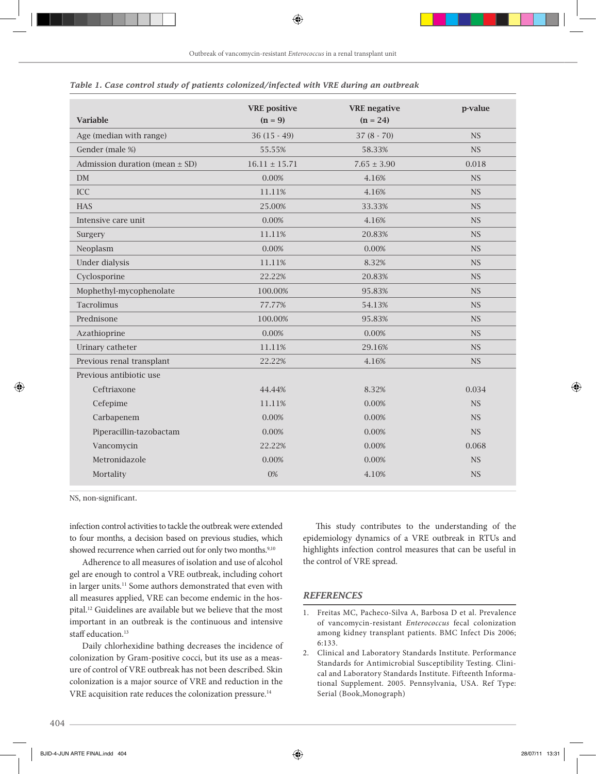|                                    | <b>VRE</b> positive | <b>VRE</b> negative | p-value   |
|------------------------------------|---------------------|---------------------|-----------|
| <b>Variable</b>                    | $(n = 9)$           | $(n = 24)$          |           |
| Age (median with range)            | $36(15-49)$         | $37(8 - 70)$        | <b>NS</b> |
| Gender (male %)                    | 55.55%              | 58.33%              | <b>NS</b> |
| Admission duration (mean $\pm$ SD) | $16.11 \pm 15.71$   | $7.65 \pm 3.90$     | 0.018     |
| DM                                 | 0.00%               | 4.16%               | <b>NS</b> |
| <b>ICC</b>                         | 11.11%              | 4.16%               | <b>NS</b> |
| <b>HAS</b>                         | 25.00%              | 33.33%              | <b>NS</b> |
| Intensive care unit                | 0.00%               | 4.16%               | <b>NS</b> |
| Surgery                            | 11.11%              | 20.83%              | <b>NS</b> |
| Neoplasm                           | 0.00%               | 0.00%               | <b>NS</b> |
| Under dialysis                     | 11.11%              | 8.32%               | <b>NS</b> |
| Cyclosporine                       | 22.22%              | 20.83%              | NS        |
| Mophethyl-mycophenolate            | 100.00%             | 95.83%              | <b>NS</b> |
| Tacrolimus                         | 77.77%              | 54.13%              | NS        |
| Prednisone                         | 100.00%             | 95.83%              | <b>NS</b> |
| Azathioprine                       | 0.00%               | 0.00%               | NS        |
| Urinary catheter                   | 11.11%              | 29.16%              | <b>NS</b> |
| Previous renal transplant          | 22.22%              | 4.16%               | NS        |
| Previous antibiotic use            |                     |                     |           |
| Ceftriaxone                        | 44.44%              | 8.32%               | 0.034     |
| Cefepime                           | 11.11%              | 0.00%               | <b>NS</b> |
| Carbapenem                         | 0.00%               | 0.00%               | NS        |
| Piperacillin-tazobactam            | 0.00%               | 0.00%               | <b>NS</b> |
| Vancomycin                         | 22.22%              | 0.00%               | 0.068     |
| Metronidazole                      | 0.00%               | 0.00%               | <b>NS</b> |
| Mortality                          | 0%                  | 4.10%               | <b>NS</b> |

### *Table 1. Case control study of patients colonized/infected with VRE during an outbreak*

NS, non-significant.

infection control activities to tackle the outbreak were extended to four months, a decision based on previous studies, which showed recurrence when carried out for only two months.<sup>9,10</sup>

Adherence to all measures of isolation and use of alcohol gel are enough to control a VRE outbreak, including cohort in larger units.<sup>11</sup> Some authors demonstrated that even with all measures applied, VRE can become endemic in the hospital.12 Guidelines are available but we believe that the most important in an outbreak is the continuous and intensive staff education.<sup>13</sup>

Daily chlorhexidine bathing decreases the incidence of colonization by Gram-positive cocci, but its use as a measure of control of VRE outbreak has not been described. Skin colonization is a major source of VRE and reduction in the VRE acquisition rate reduces the colonization pressure.<sup>14</sup>

This study contributes to the understanding of the epidemiology dynamics of a VRE outbreak in RTUs and highlights infection control measures that can be useful in the control of VRE spread.

## *REFERENCES*

1. Freitas MC, Pacheco-Silva A, Barbosa D et al. Prevalence of vancomycin-resistant *Enterococcus* fecal colonization among kidney transplant patients. BMC Infect Dis 2006; 6:133.

2. Clinical and Laboratory Standards Institute. Performance Standards for Antimicrobial Susceptibility Testing. Clinical and Laboratory Standards Institute. Fifteenth Informational Supplement. 2005. Pennsylvania, USA. Ref Type: Serial (Book,Monograph)